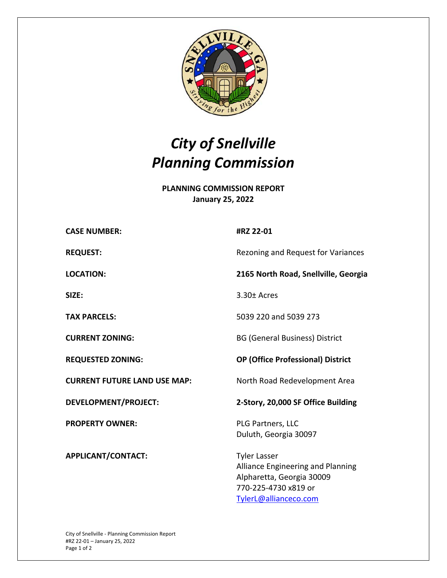

## *City of Snellville Planning Commission*

**PLANNING COMMISSION REPORT January 25, 2022** 

| Rezoning and Request for Variances   |                                     | #RZ 22-01                                                                                                                              |
|--------------------------------------|-------------------------------------|----------------------------------------------------------------------------------------------------------------------------------------|
|                                      | <b>REQUEST:</b>                     |                                                                                                                                        |
| 2165 North Road, Snellville, Georgia | <b>LOCATION:</b>                    |                                                                                                                                        |
| 3.30± Acres                          | SIZE:                               |                                                                                                                                        |
|                                      | <b>TAX PARCELS:</b>                 | 5039 220 and 5039 273                                                                                                                  |
|                                      | <b>CURRENT ZONING:</b>              | <b>BG (General Business) District</b>                                                                                                  |
|                                      | <b>REQUESTED ZONING:</b>            | <b>OP (Office Professional) District</b>                                                                                               |
|                                      | <b>CURRENT FUTURE LAND USE MAP:</b> | North Road Redevelopment Area                                                                                                          |
|                                      | DEVELOPMENT/PROJECT:                | 2-Story, 20,000 SF Office Building                                                                                                     |
|                                      | <b>PROPERTY OWNER:</b>              | PLG Partners, LLC<br>Duluth, Georgia 30097                                                                                             |
|                                      | APPLICANT/CONTACT:                  | <b>Tyler Lasser</b><br>Alliance Engineering and Planning<br>Alpharetta, Georgia 30009<br>770-225-4730 x819 or<br>TylerL@allianceco.com |
|                                      |                                     |                                                                                                                                        |
|                                      |                                     |                                                                                                                                        |
|                                      | <b>CASE NUMBER:</b>                 |                                                                                                                                        |